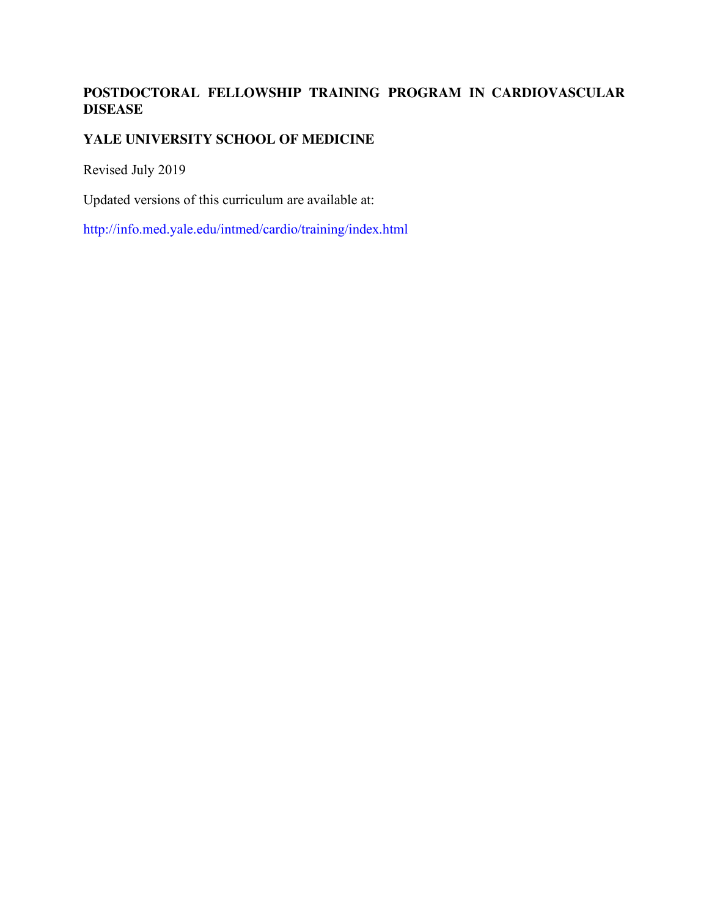# **POSTDOCTORAL FELLOWSHIP TRAINING PROGRAM IN CARDIOVASCULAR DISEASE**

## **YALE UNIVERSITY SCHOOL OF MEDICINE**

Revised July 2019

Updated versions of this curriculum are available at:

http://info.med.yale.edu/intmed/cardio/training/index.html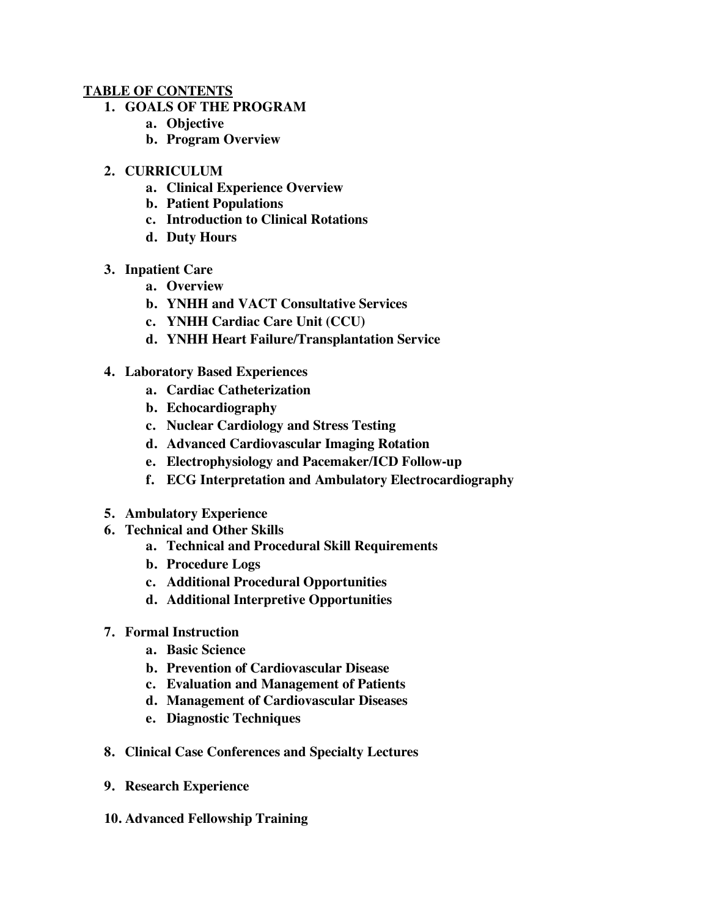#### **TABLE OF CONTENTS**

- **1. GOALS OF THE PROGRAM** 
	- **a. Objective**
	- **b. Program Overview**
- **2. CURRICULUM** 
	- **a. Clinical Experience Overview**
	- **b. Patient Populations**
	- **c. Introduction to Clinical Rotations**
	- **d. Duty Hours**
- **3. Inpatient Care**
	- **a. Overview**
	- **b. YNHH and VACT Consultative Services**
	- **c. YNHH Cardiac Care Unit (CCU)**
	- **d. YNHH Heart Failure/Transplantation Service**
- **4. Laboratory Based Experiences** 
	- **a. Cardiac Catheterization**
	- **b. Echocardiography**
	- **c. Nuclear Cardiology and Stress Testing**
	- **d. Advanced Cardiovascular Imaging Rotation**
	- **e. Electrophysiology and Pacemaker/ICD Follow-up**
	- **f. ECG Interpretation and Ambulatory Electrocardiography**
- **5. Ambulatory Experience**
- **6. Technical and Other Skills**
	- **a. Technical and Procedural Skill Requirements**
	- **b. Procedure Logs**
	- **c. Additional Procedural Opportunities**
	- **d. Additional Interpretive Opportunities**
- **7. Formal Instruction** 
	- **a. Basic Science**
	- **b. Prevention of Cardiovascular Disease**
	- **c. Evaluation and Management of Patients**
	- **d. Management of Cardiovascular Diseases**
	- **e. Diagnostic Techniques**
- **8. Clinical Case Conferences and Specialty Lectures**
- **9. Research Experience**
- **10. Advanced Fellowship Training**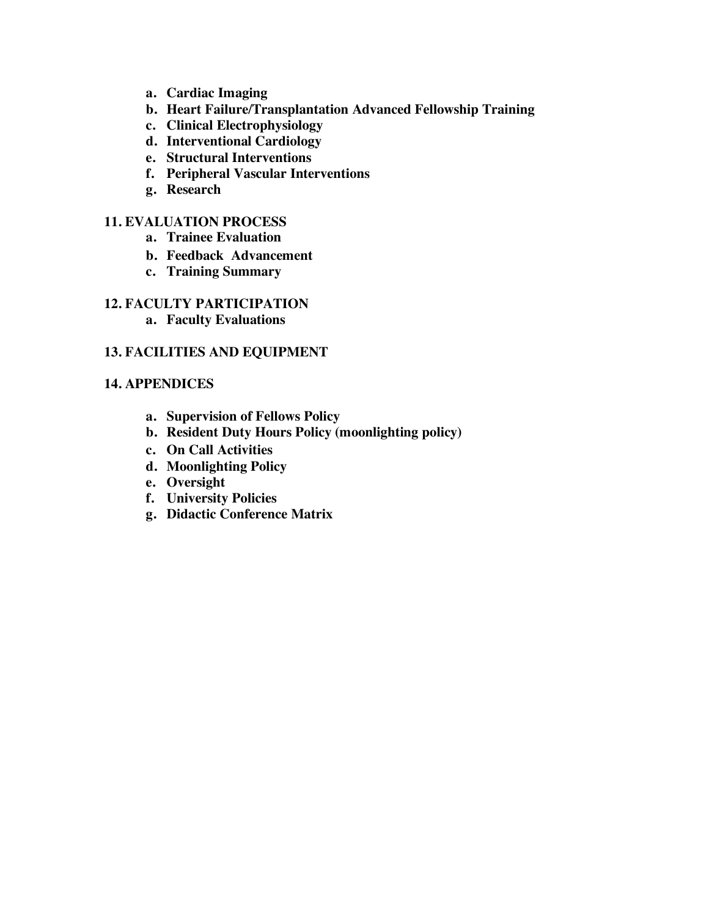- **a. Cardiac Imaging**
- **b. Heart Failure/Transplantation Advanced Fellowship Training**
- **c. Clinical Electrophysiology**
- **d. Interventional Cardiology**
- **e. Structural Interventions**
- **f. Peripheral Vascular Interventions**
- **g. Research**

#### **11. EVALUATION PROCESS**

- **a. Trainee Evaluation**
- **b. Feedback Advancement**
- **c. Training Summary**

### **12. FACULTY PARTICIPATION**

**a. Faculty Evaluations** 

#### **13. FACILITIES AND EQUIPMENT**

#### **14. APPENDICES**

- **a. Supervision of Fellows Policy**
- **b. Resident Duty Hours Policy (moonlighting policy)**
- **c. On Call Activities**
- **d. Moonlighting Policy**
- **e. Oversight**
- **f. University Policies**
- **g. Didactic Conference Matrix**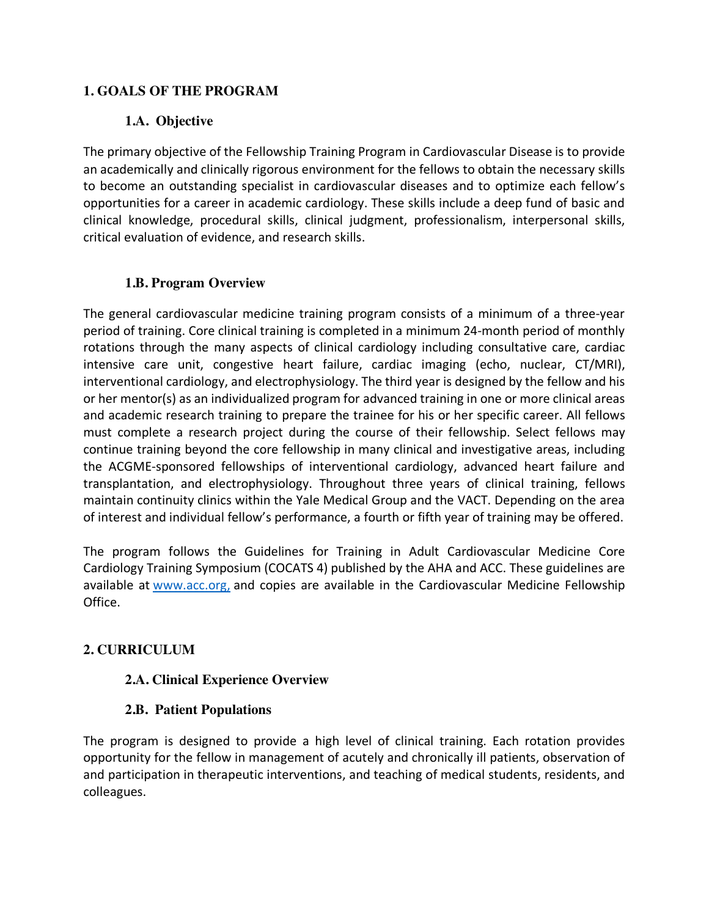## **1. GOALS OF THE PROGRAM**

# **1.A. Objective**

The primary objective of the Fellowship Training Program in Cardiovascular Disease is to provide an academically and clinically rigorous environment for the fellows to obtain the necessary skills to become an outstanding specialist in cardiovascular diseases and to optimize each fellow's opportunities for a career in academic cardiology. These skills include a deep fund of basic and clinical knowledge, procedural skills, clinical judgment, professionalism, interpersonal skills, critical evaluation of evidence, and research skills.

## **1.B. Program Overview**

The general cardiovascular medicine training program consists of a minimum of a three-year period of training. Core clinical training is completed in a minimum 24-month period of monthly rotations through the many aspects of clinical cardiology including consultative care, cardiac intensive care unit, congestive heart failure, cardiac imaging (echo, nuclear, CT/MRI), interventional cardiology, and electrophysiology. The third year is designed by the fellow and his or her mentor(s) as an individualized program for advanced training in one or more clinical areas and academic research training to prepare the trainee for his or her specific career. All fellows must complete a research project during the course of their fellowship. Select fellows may continue training beyond the core fellowship in many clinical and investigative areas, including the ACGME-sponsored fellowships of interventional cardiology, advanced heart failure and transplantation, and electrophysiology. Throughout three years of clinical training, fellows maintain continuity clinics within the Yale Medical Group and the VACT. Depending on the area of interest and individual fellow's performance, a fourth or fifth year of training may be offered.

The program follows the Guidelines for Training in Adult Cardiovascular Medicine Core Cardiology Training Symposium (COCATS 4) published by the AHA and ACC. These guidelines are available at www.acc.org, and copies are available in the Cardiovascular Medicine Fellowship Office.

# **2. CURRICULUM**

## **2.A. Clinical Experience Overview**

## **2.B. Patient Populations**

The program is designed to provide a high level of clinical training. Each rotation provides opportunity for the fellow in management of acutely and chronically ill patients, observation of and participation in therapeutic interventions, and teaching of medical students, residents, and colleagues.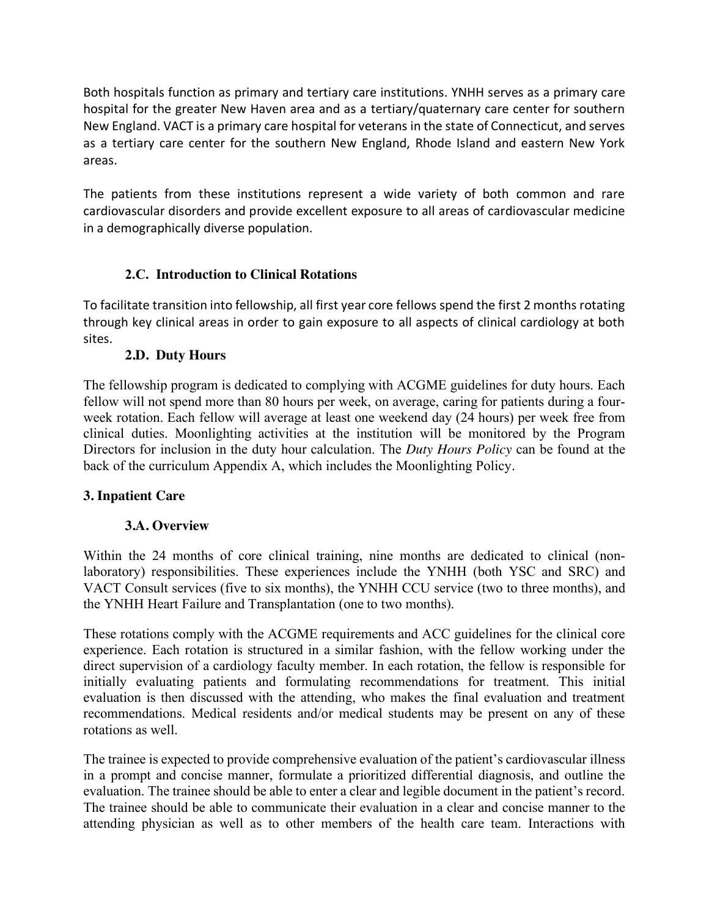Both hospitals function as primary and tertiary care institutions. YNHH serves as a primary care hospital for the greater New Haven area and as a tertiary/quaternary care center for southern New England. VACT is a primary care hospital for veterans in the state of Connecticut, and serves as a tertiary care center for the southern New England, Rhode Island and eastern New York areas.

The patients from these institutions represent a wide variety of both common and rare cardiovascular disorders and provide excellent exposure to all areas of cardiovascular medicine in a demographically diverse population.

# **2.C. Introduction to Clinical Rotations**

To facilitate transition into fellowship, all first year core fellows spend the first 2 months rotating through key clinical areas in order to gain exposure to all aspects of clinical cardiology at both sites.

# **2.D. Duty Hours**

The fellowship program is dedicated to complying with ACGME guidelines for duty hours. Each fellow will not spend more than 80 hours per week, on average, caring for patients during a fourweek rotation. Each fellow will average at least one weekend day (24 hours) per week free from clinical duties. Moonlighting activities at the institution will be monitored by the Program Directors for inclusion in the duty hour calculation. The *Duty Hours Policy* can be found at the back of the curriculum Appendix A, which includes the Moonlighting Policy*.* 

# **3. Inpatient Care**

# **3.A. Overview**

Within the 24 months of core clinical training, nine months are dedicated to clinical (nonlaboratory) responsibilities. These experiences include the YNHH (both YSC and SRC) and VACT Consult services (five to six months), the YNHH CCU service (two to three months), and the YNHH Heart Failure and Transplantation (one to two months).

These rotations comply with the ACGME requirements and ACC guidelines for the clinical core experience. Each rotation is structured in a similar fashion, with the fellow working under the direct supervision of a cardiology faculty member. In each rotation, the fellow is responsible for initially evaluating patients and formulating recommendations for treatment. This initial evaluation is then discussed with the attending, who makes the final evaluation and treatment recommendations. Medical residents and/or medical students may be present on any of these rotations as well.

The trainee is expected to provide comprehensive evaluation of the patient's cardiovascular illness in a prompt and concise manner, formulate a prioritized differential diagnosis, and outline the evaluation. The trainee should be able to enter a clear and legible document in the patient's record. The trainee should be able to communicate their evaluation in a clear and concise manner to the attending physician as well as to other members of the health care team. Interactions with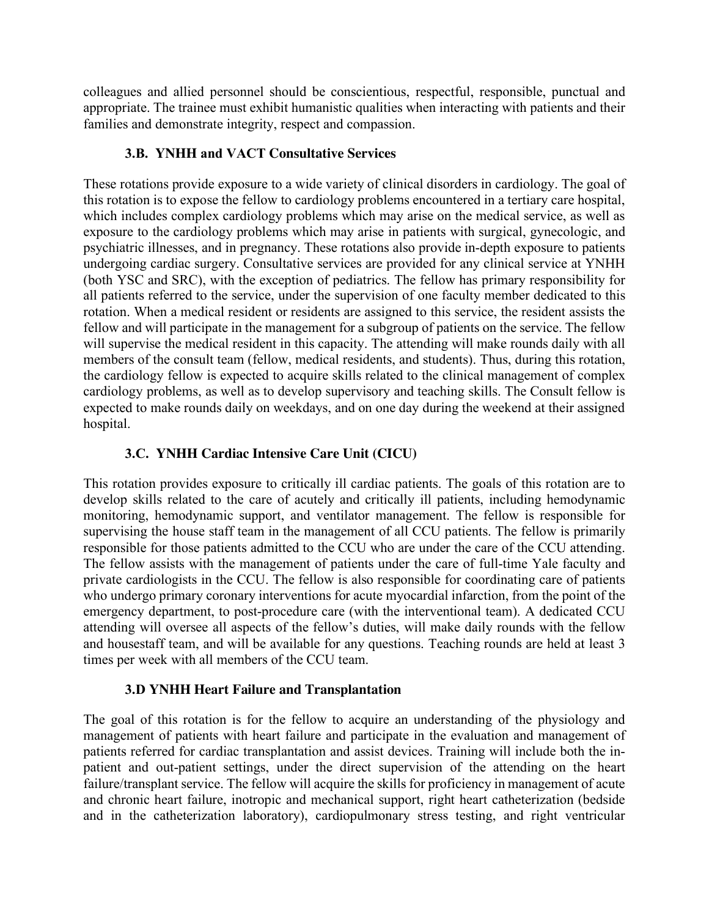colleagues and allied personnel should be conscientious, respectful, responsible, punctual and appropriate. The trainee must exhibit humanistic qualities when interacting with patients and their families and demonstrate integrity, respect and compassion.

## **3.B. YNHH and VACT Consultative Services**

These rotations provide exposure to a wide variety of clinical disorders in cardiology. The goal of this rotation is to expose the fellow to cardiology problems encountered in a tertiary care hospital, which includes complex cardiology problems which may arise on the medical service, as well as exposure to the cardiology problems which may arise in patients with surgical, gynecologic, and psychiatric illnesses, and in pregnancy. These rotations also provide in-depth exposure to patients undergoing cardiac surgery. Consultative services are provided for any clinical service at YNHH (both YSC and SRC), with the exception of pediatrics. The fellow has primary responsibility for all patients referred to the service, under the supervision of one faculty member dedicated to this rotation. When a medical resident or residents are assigned to this service, the resident assists the fellow and will participate in the management for a subgroup of patients on the service. The fellow will supervise the medical resident in this capacity. The attending will make rounds daily with all members of the consult team (fellow, medical residents, and students). Thus, during this rotation, the cardiology fellow is expected to acquire skills related to the clinical management of complex cardiology problems, as well as to develop supervisory and teaching skills. The Consult fellow is expected to make rounds daily on weekdays, and on one day during the weekend at their assigned hospital.

# **3.C. YNHH Cardiac Intensive Care Unit (CICU)**

This rotation provides exposure to critically ill cardiac patients. The goals of this rotation are to develop skills related to the care of acutely and critically ill patients, including hemodynamic monitoring, hemodynamic support, and ventilator management. The fellow is responsible for supervising the house staff team in the management of all CCU patients. The fellow is primarily responsible for those patients admitted to the CCU who are under the care of the CCU attending. The fellow assists with the management of patients under the care of full-time Yale faculty and private cardiologists in the CCU. The fellow is also responsible for coordinating care of patients who undergo primary coronary interventions for acute myocardial infarction, from the point of the emergency department, to post-procedure care (with the interventional team). A dedicated CCU attending will oversee all aspects of the fellow's duties, will make daily rounds with the fellow and housestaff team, and will be available for any questions. Teaching rounds are held at least 3 times per week with all members of the CCU team.

## **3.D YNHH Heart Failure and Transplantation**

The goal of this rotation is for the fellow to acquire an understanding of the physiology and management of patients with heart failure and participate in the evaluation and management of patients referred for cardiac transplantation and assist devices. Training will include both the inpatient and out-patient settings, under the direct supervision of the attending on the heart failure/transplant service. The fellow will acquire the skills for proficiency in management of acute and chronic heart failure, inotropic and mechanical support, right heart catheterization (bedside and in the catheterization laboratory), cardiopulmonary stress testing, and right ventricular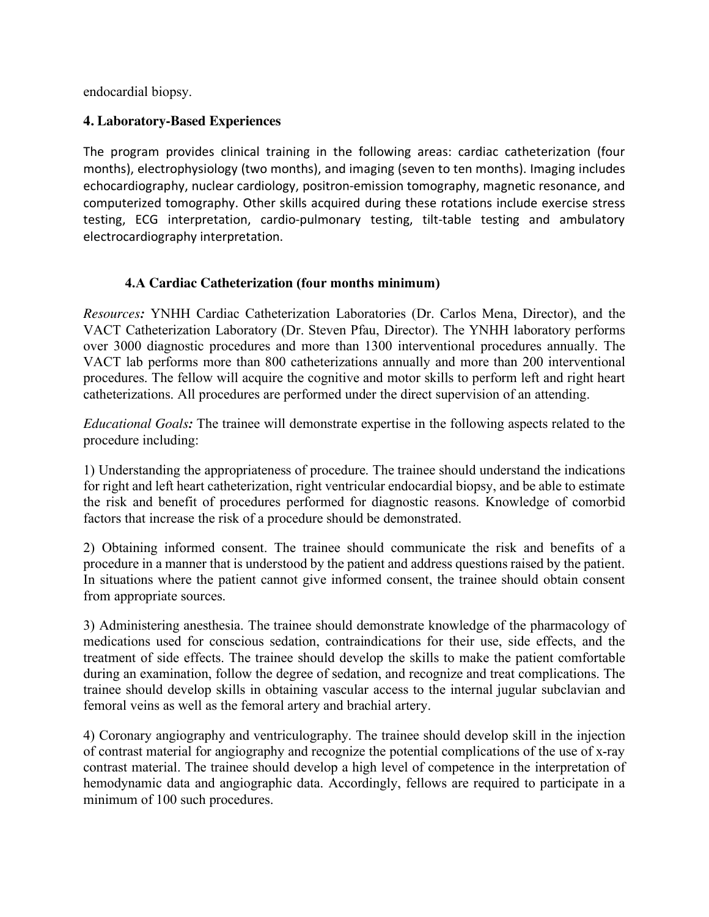endocardial biopsy.

### **4. Laboratory-Based Experiences**

The program provides clinical training in the following areas: cardiac catheterization (four months), electrophysiology (two months), and imaging (seven to ten months). Imaging includes echocardiography, nuclear cardiology, positron-emission tomography, magnetic resonance, and computerized tomography. Other skills acquired during these rotations include exercise stress testing, ECG interpretation, cardio-pulmonary testing, tilt-table testing and ambulatory electrocardiography interpretation.

## **4.A Cardiac Catheterization (four months minimum)**

*Resources:* YNHH Cardiac Catheterization Laboratories (Dr. Carlos Mena, Director), and the VACT Catheterization Laboratory (Dr. Steven Pfau, Director). The YNHH laboratory performs over 3000 diagnostic procedures and more than 1300 interventional procedures annually. The VACT lab performs more than 800 catheterizations annually and more than 200 interventional procedures. The fellow will acquire the cognitive and motor skills to perform left and right heart catheterizations. All procedures are performed under the direct supervision of an attending.

*Educational Goals:* The trainee will demonstrate expertise in the following aspects related to the procedure including:

1) Understanding the appropriateness of procedure. The trainee should understand the indications for right and left heart catheterization, right ventricular endocardial biopsy, and be able to estimate the risk and benefit of procedures performed for diagnostic reasons. Knowledge of comorbid factors that increase the risk of a procedure should be demonstrated.

2) Obtaining informed consent. The trainee should communicate the risk and benefits of a procedure in a manner that is understood by the patient and address questions raised by the patient. In situations where the patient cannot give informed consent, the trainee should obtain consent from appropriate sources.

3) Administering anesthesia. The trainee should demonstrate knowledge of the pharmacology of medications used for conscious sedation, contraindications for their use, side effects, and the treatment of side effects. The trainee should develop the skills to make the patient comfortable during an examination, follow the degree of sedation, and recognize and treat complications. The trainee should develop skills in obtaining vascular access to the internal jugular subclavian and femoral veins as well as the femoral artery and brachial artery.

4) Coronary angiography and ventriculography. The trainee should develop skill in the injection of contrast material for angiography and recognize the potential complications of the use of x-ray contrast material. The trainee should develop a high level of competence in the interpretation of hemodynamic data and angiographic data. Accordingly, fellows are required to participate in a minimum of 100 such procedures.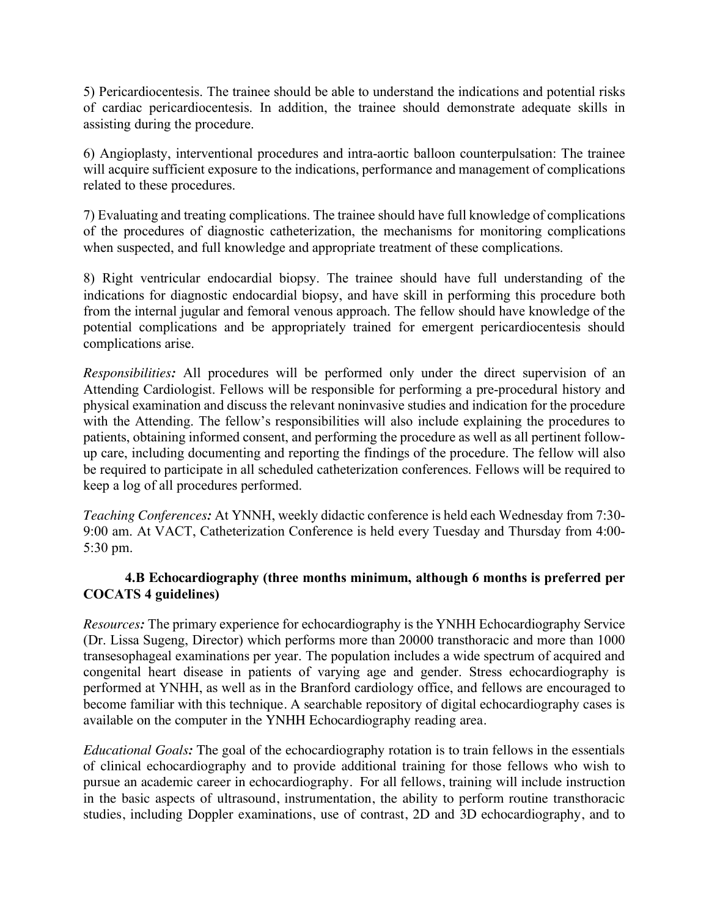5) Pericardiocentesis. The trainee should be able to understand the indications and potential risks of cardiac pericardiocentesis. In addition, the trainee should demonstrate adequate skills in assisting during the procedure.

6) Angioplasty, interventional procedures and intra-aortic balloon counterpulsation: The trainee will acquire sufficient exposure to the indications, performance and management of complications related to these procedures.

7) Evaluating and treating complications. The trainee should have full knowledge of complications of the procedures of diagnostic catheterization, the mechanisms for monitoring complications when suspected, and full knowledge and appropriate treatment of these complications.

8) Right ventricular endocardial biopsy. The trainee should have full understanding of the indications for diagnostic endocardial biopsy, and have skill in performing this procedure both from the internal jugular and femoral venous approach. The fellow should have knowledge of the potential complications and be appropriately trained for emergent pericardiocentesis should complications arise.

*Responsibilities:* All procedures will be performed only under the direct supervision of an Attending Cardiologist. Fellows will be responsible for performing a pre-procedural history and physical examination and discuss the relevant noninvasive studies and indication for the procedure with the Attending. The fellow's responsibilities will also include explaining the procedures to patients, obtaining informed consent, and performing the procedure as well as all pertinent followup care, including documenting and reporting the findings of the procedure. The fellow will also be required to participate in all scheduled catheterization conferences. Fellows will be required to keep a log of all procedures performed.

*Teaching Conferences:* At YNNH, weekly didactic conference is held each Wednesday from 7:30- 9:00 am. At VACT, Catheterization Conference is held every Tuesday and Thursday from 4:00- 5:30 pm.

## **4.B Echocardiography (three months minimum, although 6 months is preferred per COCATS 4 guidelines)**

*Resources:* The primary experience for echocardiography is the YNHH Echocardiography Service (Dr. Lissa Sugeng, Director) which performs more than 20000 transthoracic and more than 1000 transesophageal examinations per year. The population includes a wide spectrum of acquired and congenital heart disease in patients of varying age and gender. Stress echocardiography is performed at YNHH, as well as in the Branford cardiology office, and fellows are encouraged to become familiar with this technique. A searchable repository of digital echocardiography cases is available on the computer in the YNHH Echocardiography reading area.

*Educational Goals:* The goal of the echocardiography rotation is to train fellows in the essentials of clinical echocardiography and to provide additional training for those fellows who wish to pursue an academic career in echocardiography. For all fellows, training will include instruction in the basic aspects of ultrasound, instrumentation, the ability to perform routine transthoracic studies, including Doppler examinations, use of contrast, 2D and 3D echocardiography, and to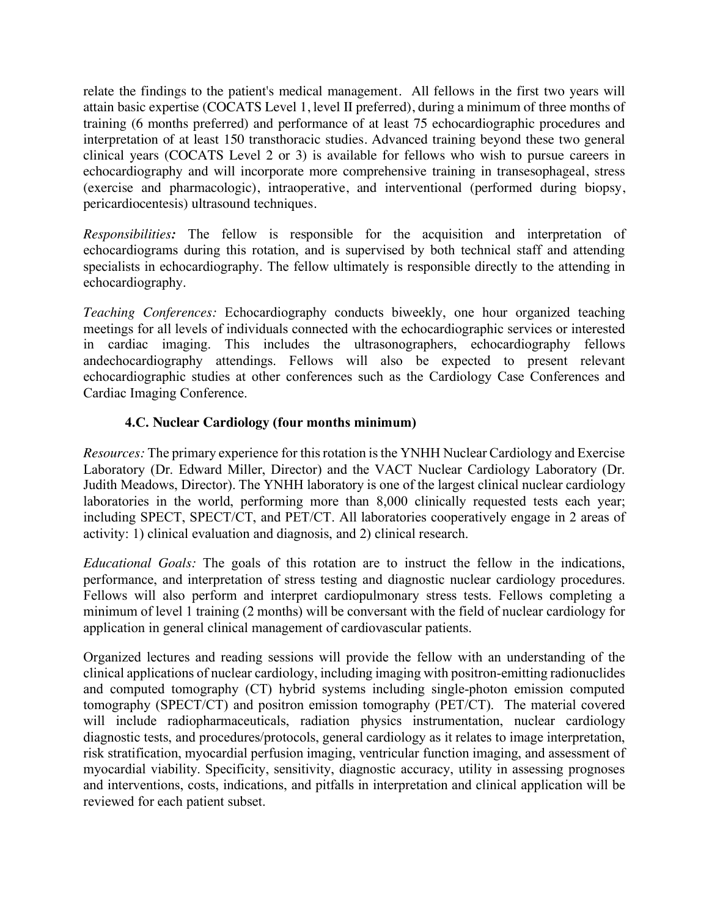relate the findings to the patient's medical management. All fellows in the first two years will attain basic expertise (COCATS Level 1, level II preferred), during a minimum of three months of training (6 months preferred) and performance of at least 75 echocardiographic procedures and interpretation of at least 150 transthoracic studies. Advanced training beyond these two general clinical years (COCATS Level 2 or 3) is available for fellows who wish to pursue careers in echocardiography and will incorporate more comprehensive training in transesophageal, stress (exercise and pharmacologic), intraoperative, and interventional (performed during biopsy, pericardiocentesis) ultrasound techniques.

*Responsibilities:* The fellow is responsible for the acquisition and interpretation of echocardiograms during this rotation, and is supervised by both technical staff and attending specialists in echocardiography. The fellow ultimately is responsible directly to the attending in echocardiography.

*Teaching Conferences:* Echocardiography conducts biweekly, one hour organized teaching meetings for all levels of individuals connected with the echocardiographic services or interested in cardiac imaging. This includes the ultrasonographers, echocardiography fellows andechocardiography attendings. Fellows will also be expected to present relevant echocardiographic studies at other conferences such as the Cardiology Case Conferences and Cardiac Imaging Conference.

## **4.C. Nuclear Cardiology (four months minimum)**

*Resources:* The primary experience for this rotation is the YNHH Nuclear Cardiology and Exercise Laboratory (Dr. Edward Miller, Director) and the VACT Nuclear Cardiology Laboratory (Dr. Judith Meadows, Director). The YNHH laboratory is one of the largest clinical nuclear cardiology laboratories in the world, performing more than 8,000 clinically requested tests each year; including SPECT, SPECT/CT, and PET/CT. All laboratories cooperatively engage in 2 areas of activity: 1) clinical evaluation and diagnosis, and 2) clinical research.

*Educational Goals:* The goals of this rotation are to instruct the fellow in the indications, performance, and interpretation of stress testing and diagnostic nuclear cardiology procedures. Fellows will also perform and interpret cardiopulmonary stress tests. Fellows completing a minimum of level 1 training (2 months) will be conversant with the field of nuclear cardiology for application in general clinical management of cardiovascular patients.

Organized lectures and reading sessions will provide the fellow with an understanding of the clinical applications of nuclear cardiology, including imaging with positron-emitting radionuclides and computed tomography (CT) hybrid systems including single-photon emission computed tomography (SPECT/CT) and positron emission tomography (PET/CT). The material covered will include radiopharmaceuticals, radiation physics instrumentation, nuclear cardiology diagnostic tests, and procedures/protocols, general cardiology as it relates to image interpretation, risk stratification, myocardial perfusion imaging, ventricular function imaging, and assessment of myocardial viability. Specificity, sensitivity, diagnostic accuracy, utility in assessing prognoses and interventions, costs, indications, and pitfalls in interpretation and clinical application will be reviewed for each patient subset.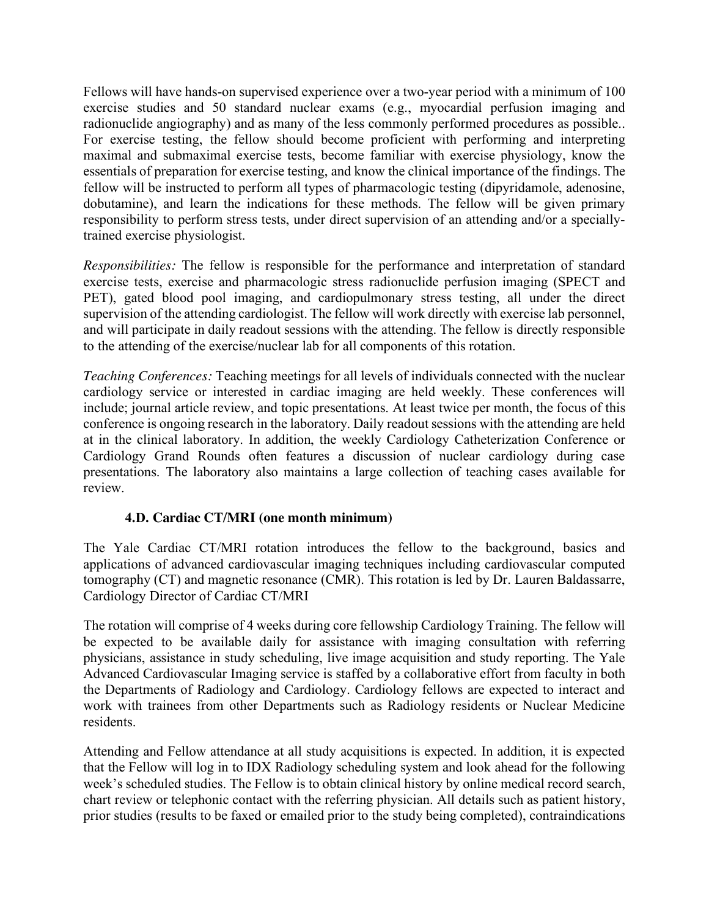Fellows will have hands-on supervised experience over a two-year period with a minimum of 100 exercise studies and 50 standard nuclear exams (e.g., myocardial perfusion imaging and radionuclide angiography) and as many of the less commonly performed procedures as possible.. For exercise testing, the fellow should become proficient with performing and interpreting maximal and submaximal exercise tests, become familiar with exercise physiology, know the essentials of preparation for exercise testing, and know the clinical importance of the findings. The fellow will be instructed to perform all types of pharmacologic testing (dipyridamole, adenosine, dobutamine), and learn the indications for these methods. The fellow will be given primary responsibility to perform stress tests, under direct supervision of an attending and/or a speciallytrained exercise physiologist.

*Responsibilities:* The fellow is responsible for the performance and interpretation of standard exercise tests, exercise and pharmacologic stress radionuclide perfusion imaging (SPECT and PET), gated blood pool imaging, and cardiopulmonary stress testing, all under the direct supervision of the attending cardiologist. The fellow will work directly with exercise lab personnel, and will participate in daily readout sessions with the attending. The fellow is directly responsible to the attending of the exercise/nuclear lab for all components of this rotation.

*Teaching Conferences:* Teaching meetings for all levels of individuals connected with the nuclear cardiology service or interested in cardiac imaging are held weekly. These conferences will include; journal article review, and topic presentations. At least twice per month, the focus of this conference is ongoing research in the laboratory. Daily readout sessions with the attending are held at in the clinical laboratory. In addition, the weekly Cardiology Catheterization Conference or Cardiology Grand Rounds often features a discussion of nuclear cardiology during case presentations. The laboratory also maintains a large collection of teaching cases available for review.

## **4.D. Cardiac CT/MRI (one month minimum)**

The Yale Cardiac CT/MRI rotation introduces the fellow to the background, basics and applications of advanced cardiovascular imaging techniques including cardiovascular computed tomography (CT) and magnetic resonance (CMR). This rotation is led by Dr. Lauren Baldassarre, Cardiology Director of Cardiac CT/MRI

The rotation will comprise of 4 weeks during core fellowship Cardiology Training. The fellow will be expected to be available daily for assistance with imaging consultation with referring physicians, assistance in study scheduling, live image acquisition and study reporting. The Yale Advanced Cardiovascular Imaging service is staffed by a collaborative effort from faculty in both the Departments of Radiology and Cardiology. Cardiology fellows are expected to interact and work with trainees from other Departments such as Radiology residents or Nuclear Medicine residents.

Attending and Fellow attendance at all study acquisitions is expected. In addition, it is expected that the Fellow will log in to IDX Radiology scheduling system and look ahead for the following week's scheduled studies. The Fellow is to obtain clinical history by online medical record search, chart review or telephonic contact with the referring physician. All details such as patient history, prior studies (results to be faxed or emailed prior to the study being completed), contraindications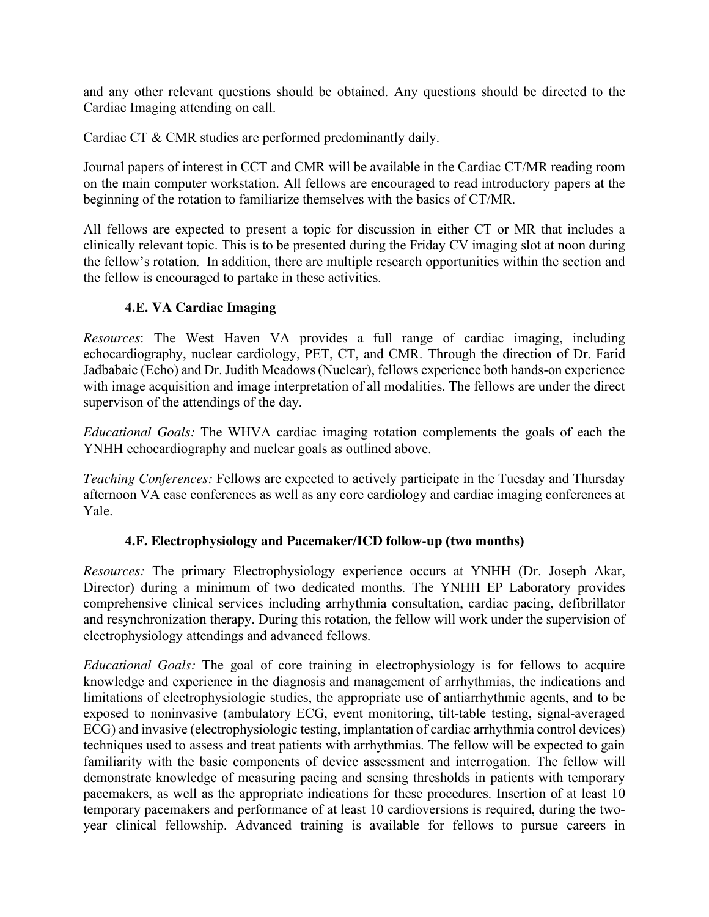and any other relevant questions should be obtained. Any questions should be directed to the Cardiac Imaging attending on call.

Cardiac CT & CMR studies are performed predominantly daily.

Journal papers of interest in CCT and CMR will be available in the Cardiac CT/MR reading room on the main computer workstation. All fellows are encouraged to read introductory papers at the beginning of the rotation to familiarize themselves with the basics of CT/MR.

All fellows are expected to present a topic for discussion in either CT or MR that includes a clinically relevant topic. This is to be presented during the Friday CV imaging slot at noon during the fellow's rotation. In addition, there are multiple research opportunities within the section and the fellow is encouraged to partake in these activities.

## **4.E. VA Cardiac Imaging**

*Resources*: The West Haven VA provides a full range of cardiac imaging, including echocardiography, nuclear cardiology, PET, CT, and CMR. Through the direction of Dr. Farid Jadbabaie (Echo) and Dr. Judith Meadows(Nuclear), fellows experience both hands-on experience with image acquisition and image interpretation of all modalities. The fellows are under the direct supervison of the attendings of the day.

*Educational Goals:* The WHVA cardiac imaging rotation complements the goals of each the YNHH echocardiography and nuclear goals as outlined above.

*Teaching Conferences:* Fellows are expected to actively participate in the Tuesday and Thursday afternoon VA case conferences as well as any core cardiology and cardiac imaging conferences at Yale.

## **4.F. Electrophysiology and Pacemaker/ICD follow-up (two months)**

*Resources:* The primary Electrophysiology experience occurs at YNHH (Dr. Joseph Akar, Director) during a minimum of two dedicated months. The YNHH EP Laboratory provides comprehensive clinical services including arrhythmia consultation, cardiac pacing, defibrillator and resynchronization therapy. During this rotation, the fellow will work under the supervision of electrophysiology attendings and advanced fellows.

*Educational Goals:* The goal of core training in electrophysiology is for fellows to acquire knowledge and experience in the diagnosis and management of arrhythmias, the indications and limitations of electrophysiologic studies, the appropriate use of antiarrhythmic agents, and to be exposed to noninvasive (ambulatory ECG, event monitoring, tilt-table testing, signal-averaged ECG) and invasive (electrophysiologic testing, implantation of cardiac arrhythmia control devices) techniques used to assess and treat patients with arrhythmias. The fellow will be expected to gain familiarity with the basic components of device assessment and interrogation. The fellow will demonstrate knowledge of measuring pacing and sensing thresholds in patients with temporary pacemakers, as well as the appropriate indications for these procedures. Insertion of at least 10 temporary pacemakers and performance of at least 10 cardioversions is required, during the twoyear clinical fellowship. Advanced training is available for fellows to pursue careers in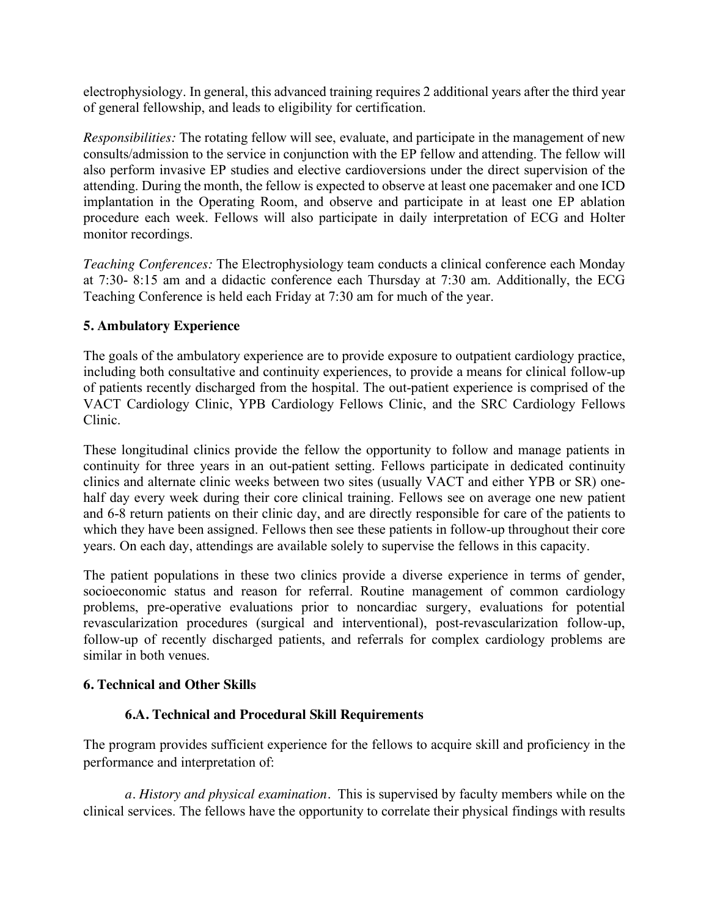electrophysiology. In general, this advanced training requires 2 additional years after the third year of general fellowship, and leads to eligibility for certification.

*Responsibilities:* The rotating fellow will see, evaluate, and participate in the management of new consults/admission to the service in conjunction with the EP fellow and attending. The fellow will also perform invasive EP studies and elective cardioversions under the direct supervision of the attending. During the month, the fellow is expected to observe at least one pacemaker and one ICD implantation in the Operating Room, and observe and participate in at least one EP ablation procedure each week. Fellows will also participate in daily interpretation of ECG and Holter monitor recordings.

*Teaching Conferences:* The Electrophysiology team conducts a clinical conference each Monday at 7:30- 8:15 am and a didactic conference each Thursday at 7:30 am. Additionally, the ECG Teaching Conference is held each Friday at 7:30 am for much of the year.

### **5. Ambulatory Experience**

The goals of the ambulatory experience are to provide exposure to outpatient cardiology practice, including both consultative and continuity experiences, to provide a means for clinical follow-up of patients recently discharged from the hospital. The out-patient experience is comprised of the VACT Cardiology Clinic, YPB Cardiology Fellows Clinic, and the SRC Cardiology Fellows Clinic.

These longitudinal clinics provide the fellow the opportunity to follow and manage patients in continuity for three years in an out-patient setting. Fellows participate in dedicated continuity clinics and alternate clinic weeks between two sites (usually VACT and either YPB or SR) onehalf day every week during their core clinical training. Fellows see on average one new patient and 6-8 return patients on their clinic day, and are directly responsible for care of the patients to which they have been assigned. Fellows then see these patients in follow-up throughout their core years. On each day, attendings are available solely to supervise the fellows in this capacity.

The patient populations in these two clinics provide a diverse experience in terms of gender, socioeconomic status and reason for referral. Routine management of common cardiology problems, pre-operative evaluations prior to noncardiac surgery, evaluations for potential revascularization procedures (surgical and interventional), post-revascularization follow-up, follow-up of recently discharged patients, and referrals for complex cardiology problems are similar in both venues.

#### **6. Technical and Other Skills**

## **6.A. Technical and Procedural Skill Requirements**

The program provides sufficient experience for the fellows to acquire skill and proficiency in the performance and interpretation of:

*a. History and physical examination.* This is supervised by faculty members while on the clinical services. The fellows have the opportunity to correlate their physical findings with results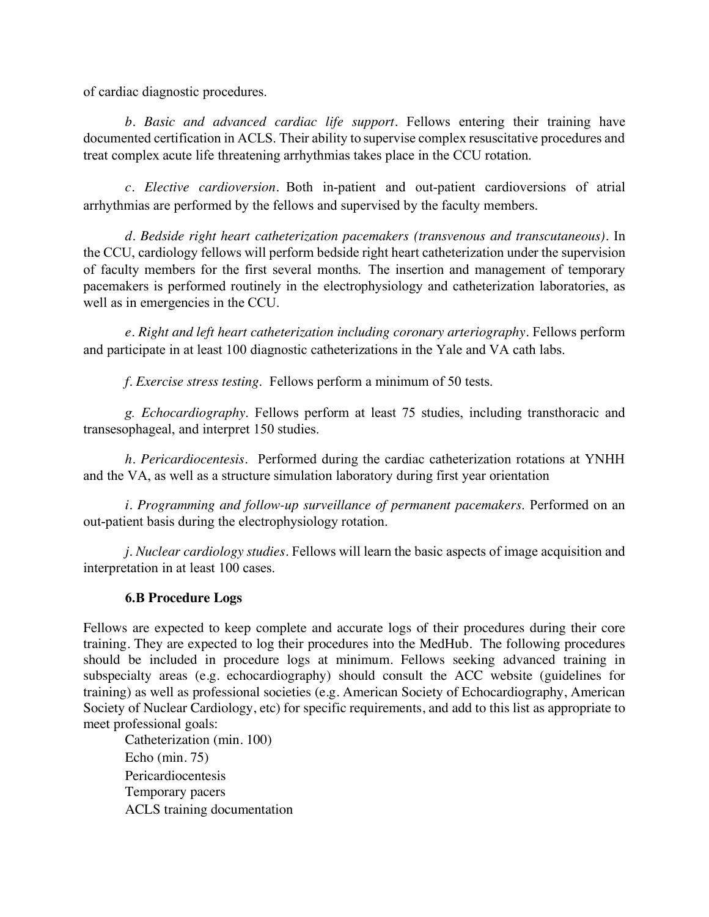of cardiac diagnostic procedures.

*b. Basic and advanced cardiac life support.* Fellows entering their training have documented certification in ACLS. Their ability to supervise complex resuscitative procedures and treat complex acute life threatening arrhythmias takes place in the CCU rotation.

*c. Elective cardioversion.* Both in-patient and out-patient cardioversions of atrial arrhythmias are performed by the fellows and supervised by the faculty members.

*d. Bedside right heart catheterization pacemakers (transvenous and transcutaneous).* In the CCU, cardiology fellows will perform bedside right heart catheterization under the supervision of faculty members for the first several months. The insertion and management of temporary pacemakers is performed routinely in the electrophysiology and catheterization laboratories, as well as in emergencies in the CCU.

*e. Right and left heart catheterization including coronary arteriography.* Fellows perform and participate in at least 100 diagnostic catheterizations in the Yale and VA cath labs.

*f. Exercise stress testing*. Fellows perform a minimum of 50 tests.

*g. Echocardiography*. Fellows perform at least 75 studies, including transthoracic and transesophageal, and interpret 150 studies.

*h. Pericardiocentesis.* Performed during the cardiac catheterization rotations at YNHH and the VA, as well as a structure simulation laboratory during first year orientation

*i. Programming and follow-up surveillance of permanent pacemakers*. Performed on an out-patient basis during the electrophysiology rotation.

*j. Nuclear cardiology studies.* Fellows will learn the basic aspects of image acquisition and interpretation in at least 100 cases.

## **6.B Procedure Logs**

Fellows are expected to keep complete and accurate logs of their procedures during their core training. They are expected to log their procedures into the MedHub. The following procedures should be included in procedure logs at minimum. Fellows seeking advanced training in subspecialty areas (e.g. echocardiography) should consult the ACC website (guidelines for training) as well as professional societies (e.g. American Society of Echocardiography, American Society of Nuclear Cardiology, etc) for specific requirements, and add to this list as appropriate to meet professional goals:

Catheterization (min. 100) Echo (min. 75) Pericardiocentesis Temporary pacers ACLS training documentation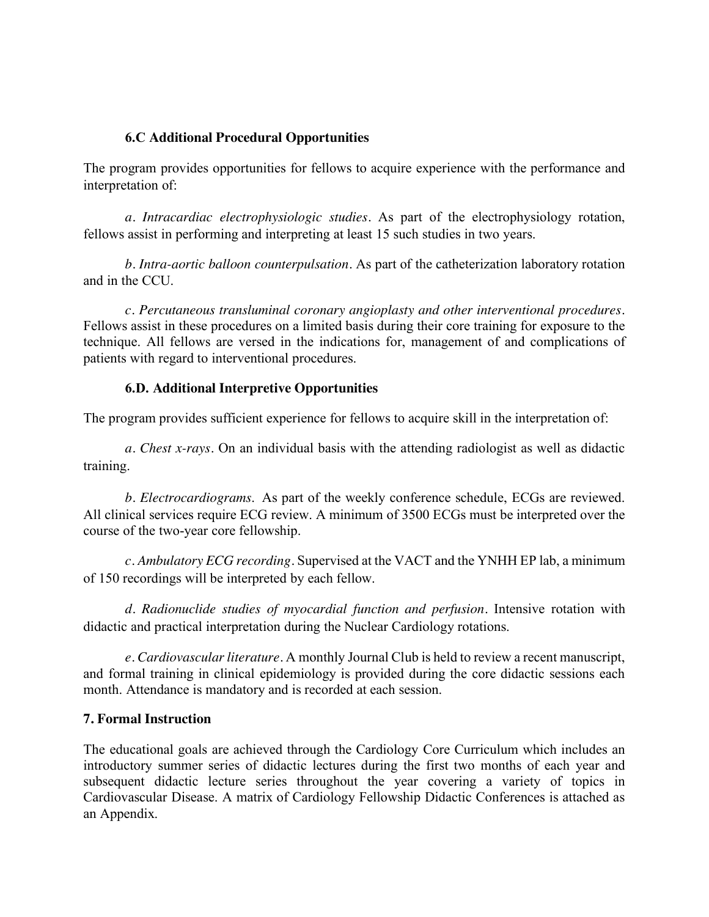### **6.C Additional Procedural Opportunities**

The program provides opportunities for fellows to acquire experience with the performance and interpretation of:

*a. Intracardiac electrophysiologic studies.* As part of the electrophysiology rotation, fellows assist in performing and interpreting at least 15 such studies in two years.

*b. Intra-aortic balloon counterpulsation.* As part of the catheterization laboratory rotation and in the CCU.

*c. Percutaneous transluminal coronary angioplasty and other interventional procedures.* Fellows assist in these procedures on a limited basis during their core training for exposure to the technique. All fellows are versed in the indications for, management of and complications of patients with regard to interventional procedures.

### **6.D. Additional Interpretive Opportunities**

The program provides sufficient experience for fellows to acquire skill in the interpretation of:

*a. Chest x-rays.* On an individual basis with the attending radiologist as well as didactic training.

*b. Electrocardiograms*. As part of the weekly conference schedule, ECGs are reviewed. All clinical services require ECG review. A minimum of 3500 ECGs must be interpreted over the course of the two-year core fellowship.

*c. Ambulatory ECG recording.* Supervised at the VACT and the YNHH EP lab, a minimum of 150 recordings will be interpreted by each fellow.

*d. Radionuclide studies of myocardial function and perfusion.* Intensive rotation with didactic and practical interpretation during the Nuclear Cardiology rotations.

*e. Cardiovascular literature.* A monthly Journal Club is held to review a recent manuscript, and formal training in clinical epidemiology is provided during the core didactic sessions each month. Attendance is mandatory and is recorded at each session.

## **7. Formal Instruction**

The educational goals are achieved through the Cardiology Core Curriculum which includes an introductory summer series of didactic lectures during the first two months of each year and subsequent didactic lecture series throughout the year covering a variety of topics in Cardiovascular Disease. A matrix of Cardiology Fellowship Didactic Conferences is attached as an Appendix.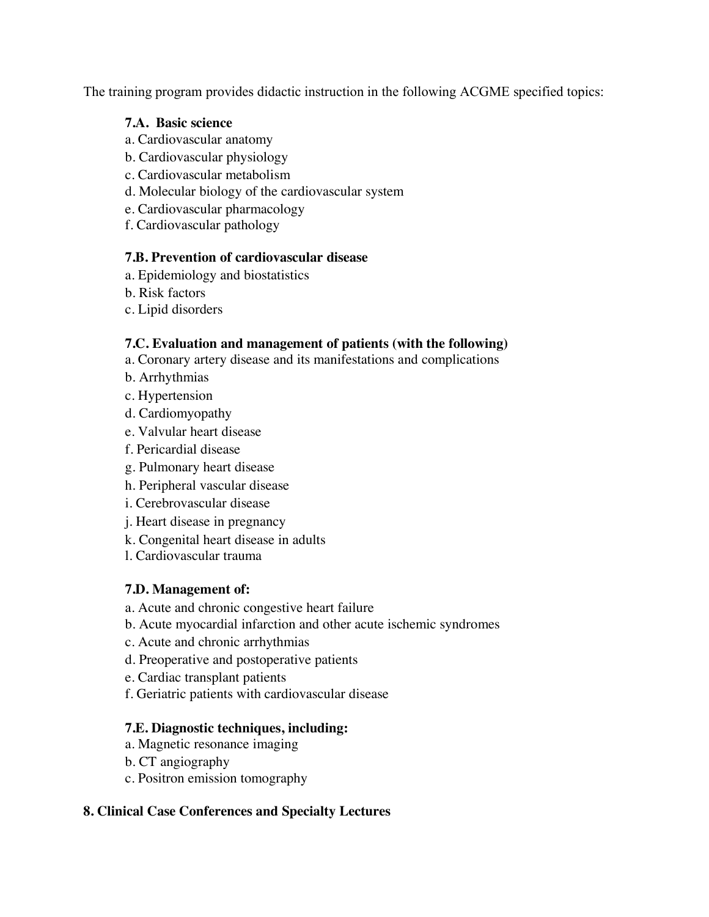The training program provides didactic instruction in the following ACGME specified topics:

### **7.A. Basic science**

- a. Cardiovascular anatomy
- b. Cardiovascular physiology
- c. Cardiovascular metabolism
- d. Molecular biology of the cardiovascular system
- e. Cardiovascular pharmacology
- f. Cardiovascular pathology

#### **7.B. Prevention of cardiovascular disease**

- a. Epidemiology and biostatistics
- b. Risk factors
- c. Lipid disorders

### **7.C. Evaluation and management of patients (with the following)**

- a. Coronary artery disease and its manifestations and complications
- b. Arrhythmias
- c. Hypertension
- d. Cardiomyopathy
- e. Valvular heart disease
- f. Pericardial disease
- g. Pulmonary heart disease
- h. Peripheral vascular disease
- i. Cerebrovascular disease
- j. Heart disease in pregnancy
- k. Congenital heart disease in adults
- l. Cardiovascular trauma

## **7.D. Management of:**

- a. Acute and chronic congestive heart failure
- b. Acute myocardial infarction and other acute ischemic syndromes
- c. Acute and chronic arrhythmias
- d. Preoperative and postoperative patients
- e. Cardiac transplant patients
- f. Geriatric patients with cardiovascular disease

## **7.E. Diagnostic techniques, including:**

- a. Magnetic resonance imaging
- b. CT angiography
- c. Positron emission tomography

## **8. Clinical Case Conferences and Specialty Lectures**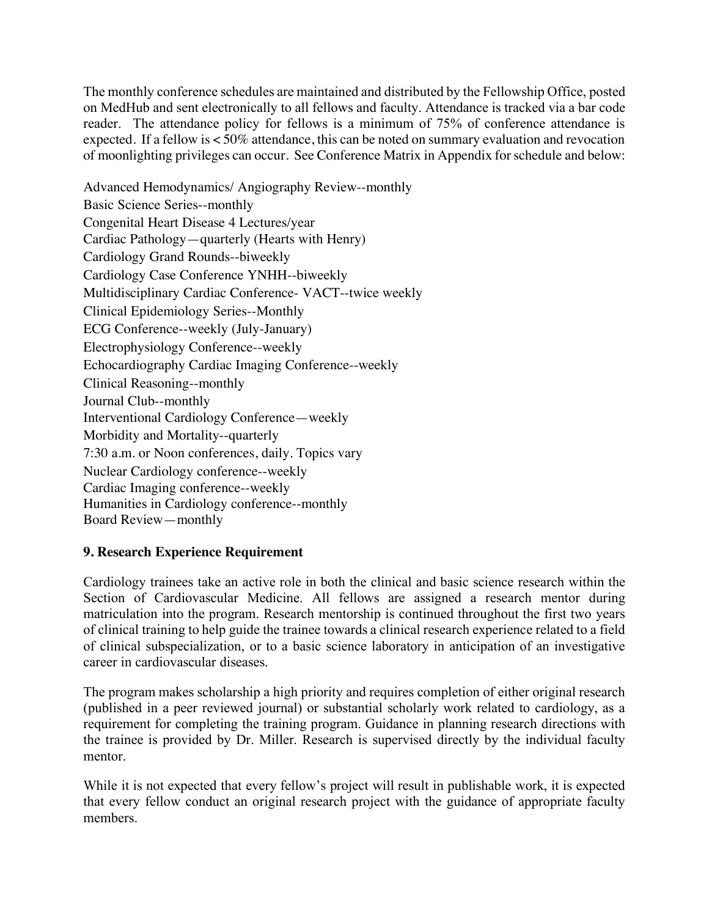The monthly conference schedules are maintained and distributed by the Fellowship Office, posted on MedHub and sent electronically to all fellows and faculty. Attendance is tracked via a bar code reader. The attendance policy for fellows is a minimum of 75% of conference attendance is expected. If a fellow is < 50% attendance, this can be noted on summary evaluation and revocation of moonlighting privileges can occur. See Conference Matrix in Appendix for schedule and below:

Advanced Hemodynamics/ Angiography Review--monthly Basic Science Series--monthly Congenital Heart Disease 4 Lectures/year Cardiac Pathology—quarterly (Hearts with Henry) Cardiology Grand Rounds--biweekly Cardiology Case Conference YNHH--biweekly Multidisciplinary Cardiac Conference- VACT--twice weekly Clinical Epidemiology Series--Monthly ECG Conference--weekly (July-January) Electrophysiology Conference--weekly Echocardiography Cardiac Imaging Conference--weekly Clinical Reasoning--monthly Journal Club--monthly Interventional Cardiology Conference—weekly Morbidity and Mortality--quarterly 7:30 a.m. or Noon conferences, daily. Topics vary Nuclear Cardiology conference--weekly Cardiac Imaging conference--weekly Humanities in Cardiology conference--monthly Board Review—monthly

## **9. Research Experience Requirement**

Cardiology trainees take an active role in both the clinical and basic science research within the Section of Cardiovascular Medicine. All fellows are assigned a research mentor during matriculation into the program. Research mentorship is continued throughout the first two years of clinical training to help guide the trainee towards a clinical research experience related to a field of clinical subspecialization, or to a basic science laboratory in anticipation of an investigative career in cardiovascular diseases.

The program makes scholarship a high priority and requires completion of either original research (published in a peer reviewed journal) or substantial scholarly work related to cardiology, as a requirement for completing the training program. Guidance in planning research directions with the trainee is provided by Dr. Miller. Research is supervised directly by the individual faculty mentor.

While it is not expected that every fellow's project will result in publishable work, it is expected that every fellow conduct an original research project with the guidance of appropriate faculty members.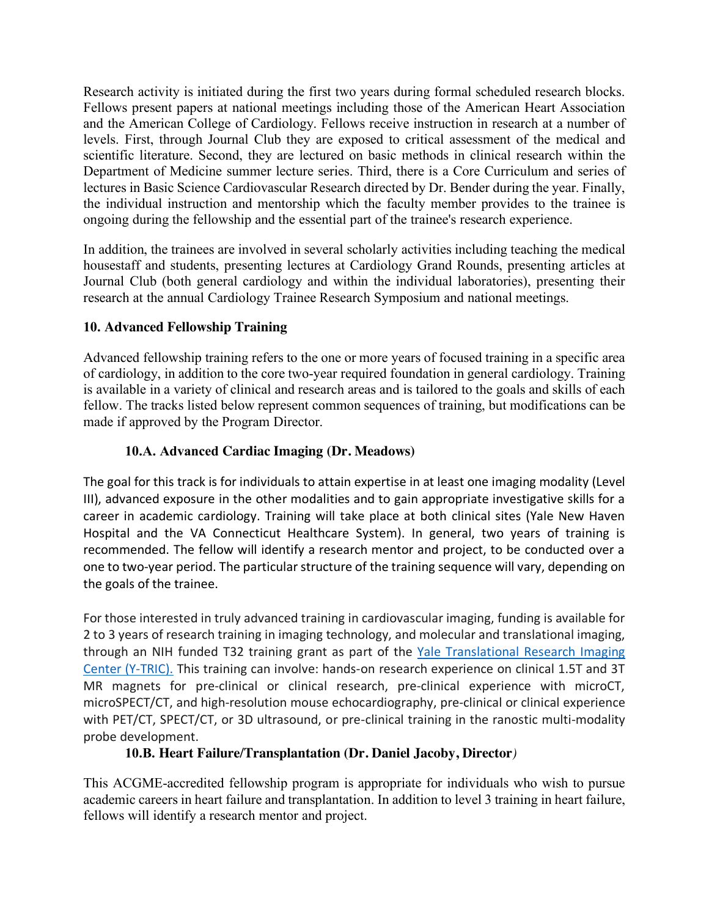Research activity is initiated during the first two years during formal scheduled research blocks. Fellows present papers at national meetings including those of the American Heart Association and the American College of Cardiology. Fellows receive instruction in research at a number of levels. First, through Journal Club they are exposed to critical assessment of the medical and scientific literature. Second, they are lectured on basic methods in clinical research within the Department of Medicine summer lecture series. Third, there is a Core Curriculum and series of lectures in Basic Science Cardiovascular Research directed by Dr. Bender during the year. Finally, the individual instruction and mentorship which the faculty member provides to the trainee is ongoing during the fellowship and the essential part of the trainee's research experience.

In addition, the trainees are involved in several scholarly activities including teaching the medical housestaff and students, presenting lectures at Cardiology Grand Rounds, presenting articles at Journal Club (both general cardiology and within the individual laboratories), presenting their research at the annual Cardiology Trainee Research Symposium and national meetings.

# **10. Advanced Fellowship Training**

Advanced fellowship training refers to the one or more years of focused training in a specific area of cardiology, in addition to the core two-year required foundation in general cardiology. Training is available in a variety of clinical and research areas and is tailored to the goals and skills of each fellow. The tracks listed below represent common sequences of training, but modifications can be made if approved by the Program Director.

# **10.A. Advanced Cardiac Imaging (Dr. Meadows)**

The goal for this track is for individuals to attain expertise in at least one imaging modality (Level III), advanced exposure in the other modalities and to gain appropriate investigative skills for a career in academic cardiology. Training will take place at both clinical sites (Yale New Haven Hospital and the VA Connecticut Healthcare System). In general, two years of training is recommended. The fellow will identify a research mentor and project, to be conducted over a one to two-year period. The particular structure of the training sequence will vary, depending on the goals of the trainee.

For those interested in truly advanced training in cardiovascular imaging, funding is available for 2 to 3 years of research training in imaging technology, and molecular and translational imaging, through an NIH funded T32 training grant as part of the Yale Translational Research Imaging Center (Y-TRIC). This training can involve: hands-on research experience on clinical 1.5T and 3T MR magnets for pre-clinical or clinical research, pre-clinical experience with microCT, microSPECT/CT, and high-resolution mouse echocardiography, pre-clinical or clinical experience with PET/CT, SPECT/CT, or 3D ultrasound, or pre-clinical training in the ranostic multi-modality probe development.

# **10.B. Heart Failure/Transplantation (Dr. Daniel Jacoby, Director***)*

This ACGME-accredited fellowship program is appropriate for individuals who wish to pursue academic careers in heart failure and transplantation. In addition to level 3 training in heart failure, fellows will identify a research mentor and project.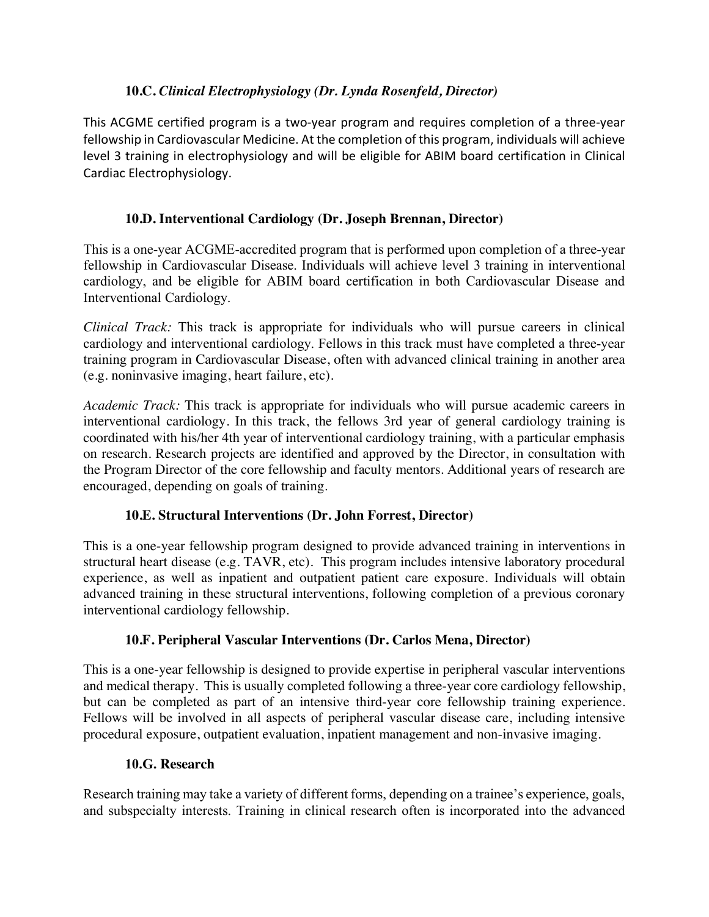## **10.C.** *Clinical Electrophysiology (Dr. Lynda Rosenfeld, Director)*

This ACGME certified program is a two-year program and requires completion of a three-year fellowship in Cardiovascular Medicine. At the completion of this program, individuals will achieve level 3 training in electrophysiology and will be eligible for ABIM board certification in Clinical Cardiac Electrophysiology.

## **10.D. Interventional Cardiology (Dr. Joseph Brennan, Director)**

This is a one-year ACGME-accredited program that is performed upon completion of a three-year fellowship in Cardiovascular Disease. Individuals will achieve level 3 training in interventional cardiology, and be eligible for ABIM board certification in both Cardiovascular Disease and Interventional Cardiology.

*Clinical Track:* This track is appropriate for individuals who will pursue careers in clinical cardiology and interventional cardiology. Fellows in this track must have completed a three-year training program in Cardiovascular Disease, often with advanced clinical training in another area (e.g. noninvasive imaging, heart failure, etc).

*Academic Track:* This track is appropriate for individuals who will pursue academic careers in interventional cardiology. In this track, the fellows 3rd year of general cardiology training is coordinated with his/her 4th year of interventional cardiology training, with a particular emphasis on research. Research projects are identified and approved by the Director, in consultation with the Program Director of the core fellowship and faculty mentors. Additional years of research are encouraged, depending on goals of training.

## **10.E. Structural Interventions (Dr. John Forrest, Director)**

This is a one-year fellowship program designed to provide advanced training in interventions in structural heart disease (e.g. TAVR, etc). This program includes intensive laboratory procedural experience, as well as inpatient and outpatient patient care exposure. Individuals will obtain advanced training in these structural interventions, following completion of a previous coronary interventional cardiology fellowship.

## **10.F. Peripheral Vascular Interventions (Dr. Carlos Mena, Director)**

This is a one-year fellowship is designed to provide expertise in peripheral vascular interventions and medical therapy. This is usually completed following a three-year core cardiology fellowship, but can be completed as part of an intensive third-year core fellowship training experience. Fellows will be involved in all aspects of peripheral vascular disease care, including intensive procedural exposure, outpatient evaluation, inpatient management and non-invasive imaging.

## **10.G. Research**

Research training may take a variety of different forms, depending on a trainee's experience, goals, and subspecialty interests. Training in clinical research often is incorporated into the advanced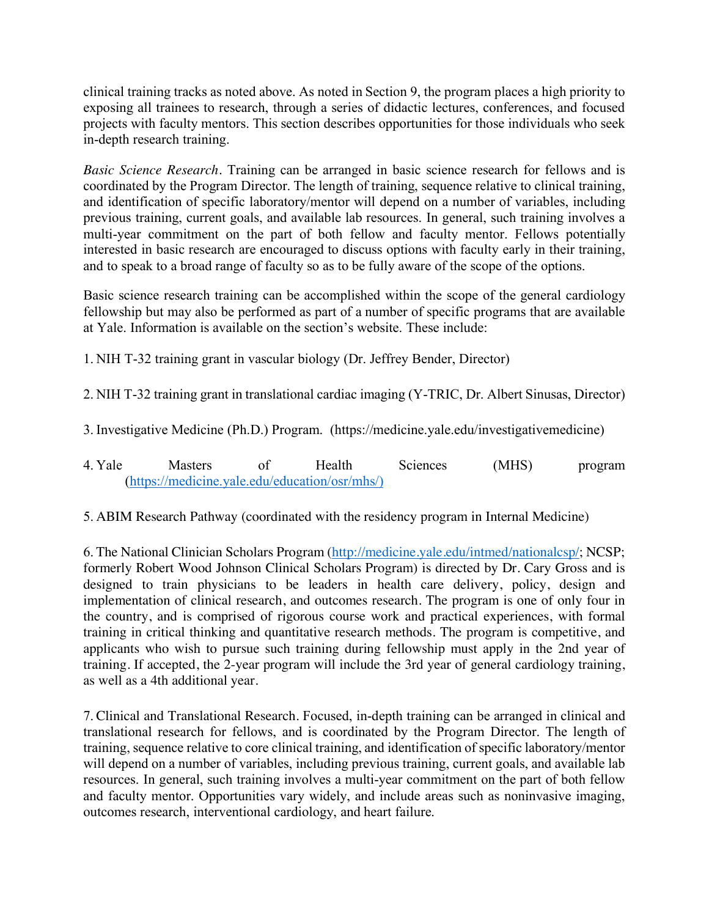clinical training tracks as noted above. As noted in Section 9, the program places a high priority to exposing all trainees to research, through a series of didactic lectures, conferences, and focused projects with faculty mentors. This section describes opportunities for those individuals who seek in-depth research training.

*Basic Science Research.* Training can be arranged in basic science research for fellows and is coordinated by the Program Director. The length of training, sequence relative to clinical training, and identification of specific laboratory/mentor will depend on a number of variables, including previous training, current goals, and available lab resources. In general, such training involves a multi-year commitment on the part of both fellow and faculty mentor. Fellows potentially interested in basic research are encouraged to discuss options with faculty early in their training, and to speak to a broad range of faculty so as to be fully aware of the scope of the options.

Basic science research training can be accomplished within the scope of the general cardiology fellowship but may also be performed as part of a number of specific programs that are available at Yale. Information is available on the section's website. These include:

1. NIH T-32 training grant in vascular biology (Dr. Jeffrey Bender, Director)

2. NIH T-32 training grant in translational cardiac imaging (Y-TRIC, Dr. Albert Sinusas, Director)

3. Investigative Medicine (Ph.D.) Program. (https://medicine.yale.edu/investigativemedicine)

4. Yale Masters of Health Sciences (MHS) program (https://medicine.yale.edu/education/osr/mhs/)

5. ABIM Research Pathway (coordinated with the residency program in Internal Medicine)

6. The National Clinician Scholars Program (http://medicine.yale.edu/intmed/nationalcsp/; NCSP; formerly Robert Wood Johnson Clinical Scholars Program) is directed by Dr. Cary Gross and is designed to train physicians to be leaders in health care delivery, policy, design and implementation of clinical research, and outcomes research. The program is one of only four in the country, and is comprised of rigorous course work and practical experiences, with formal training in critical thinking and quantitative research methods. The program is competitive, and applicants who wish to pursue such training during fellowship must apply in the 2nd year of training. If accepted, the 2-year program will include the 3rd year of general cardiology training, as well as a 4th additional year.

7. Clinical and Translational Research. Focused, in-depth training can be arranged in clinical and translational research for fellows, and is coordinated by the Program Director. The length of training, sequence relative to core clinical training, and identification of specific laboratory/mentor will depend on a number of variables, including previous training, current goals, and available lab resources. In general, such training involves a multi-year commitment on the part of both fellow and faculty mentor. Opportunities vary widely, and include areas such as noninvasive imaging, outcomes research, interventional cardiology, and heart failure.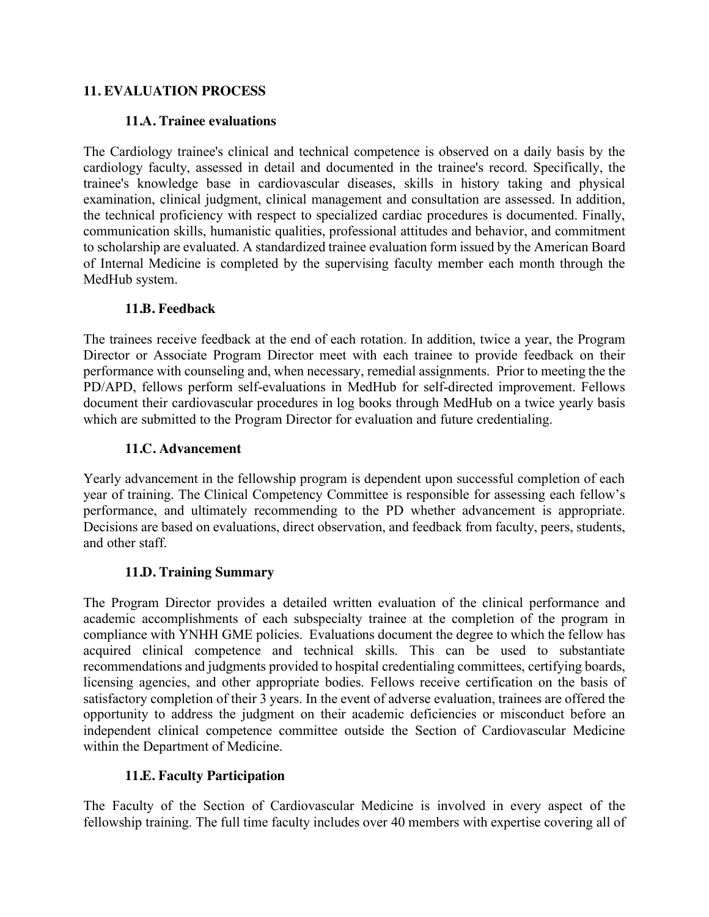## **11. EVALUATION PROCESS**

### **11.A. Trainee evaluations**

The Cardiology trainee's clinical and technical competence is observed on a daily basis by the cardiology faculty, assessed in detail and documented in the trainee's record. Specifically, the trainee's knowledge base in cardiovascular diseases, skills in history taking and physical examination, clinical judgment, clinical management and consultation are assessed. In addition, the technical proficiency with respect to specialized cardiac procedures is documented. Finally, communication skills, humanistic qualities, professional attitudes and behavior, and commitment to scholarship are evaluated. A standardized trainee evaluation form issued by the American Board of Internal Medicine is completed by the supervising faculty member each month through the MedHub system.

### **11.B. Feedback**

The trainees receive feedback at the end of each rotation. In addition, twice a year, the Program Director or Associate Program Director meet with each trainee to provide feedback on their performance with counseling and, when necessary, remedial assignments. Prior to meeting the the PD/APD, fellows perform self-evaluations in MedHub for self-directed improvement. Fellows document their cardiovascular procedures in log books through MedHub on a twice yearly basis which are submitted to the Program Director for evaluation and future credentialing.

## **11.C. Advancement**

Yearly advancement in the fellowship program is dependent upon successful completion of each year of training. The Clinical Competency Committee is responsible for assessing each fellow's performance, and ultimately recommending to the PD whether advancement is appropriate. Decisions are based on evaluations, direct observation, and feedback from faculty, peers, students, and other staff.

## **11.D. Training Summary**

The Program Director provides a detailed written evaluation of the clinical performance and academic accomplishments of each subspecialty trainee at the completion of the program in compliance with YNHH GME policies. Evaluations document the degree to which the fellow has acquired clinical competence and technical skills. This can be used to substantiate recommendations and judgments provided to hospital credentialing committees, certifying boards, licensing agencies, and other appropriate bodies. Fellows receive certification on the basis of satisfactory completion of their 3 years. In the event of adverse evaluation, trainees are offered the opportunity to address the judgment on their academic deficiencies or misconduct before an independent clinical competence committee outside the Section of Cardiovascular Medicine within the Department of Medicine.

## **11.E. Faculty Participation**

The Faculty of the Section of Cardiovascular Medicine is involved in every aspect of the fellowship training. The full time faculty includes over 40 members with expertise covering all of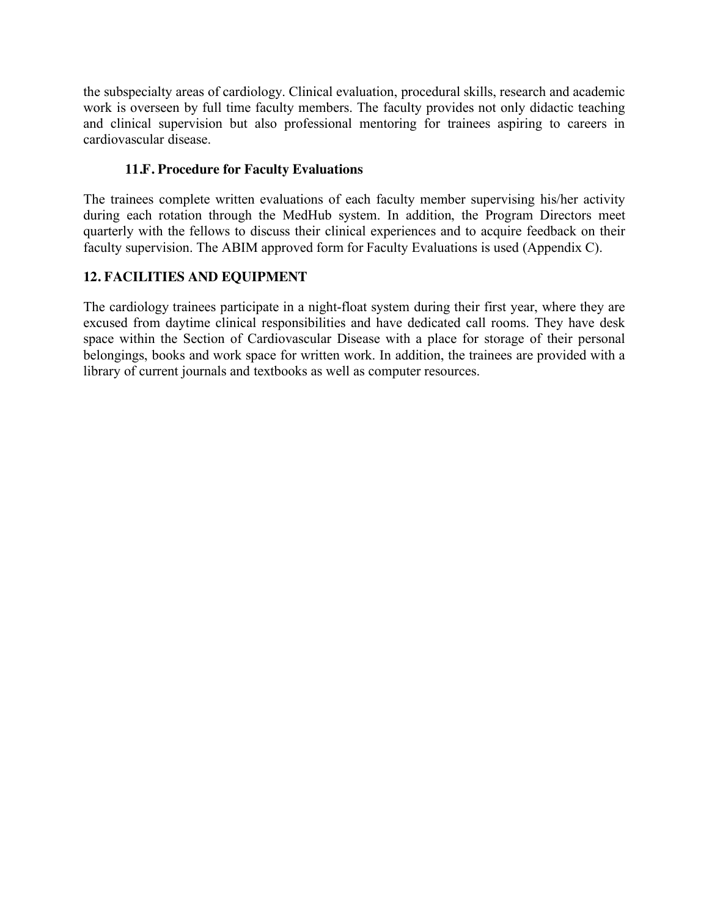the subspecialty areas of cardiology. Clinical evaluation, procedural skills, research and academic work is overseen by full time faculty members. The faculty provides not only didactic teaching and clinical supervision but also professional mentoring for trainees aspiring to careers in cardiovascular disease.

## **11.F. Procedure for Faculty Evaluations**

The trainees complete written evaluations of each faculty member supervising his/her activity during each rotation through the MedHub system. In addition, the Program Directors meet quarterly with the fellows to discuss their clinical experiences and to acquire feedback on their faculty supervision. The ABIM approved form for Faculty Evaluations is used (Appendix C).

# **12. FACILITIES AND EQUIPMENT**

The cardiology trainees participate in a night-float system during their first year, where they are excused from daytime clinical responsibilities and have dedicated call rooms. They have desk space within the Section of Cardiovascular Disease with a place for storage of their personal belongings, books and work space for written work. In addition, the trainees are provided with a library of current journals and textbooks as well as computer resources.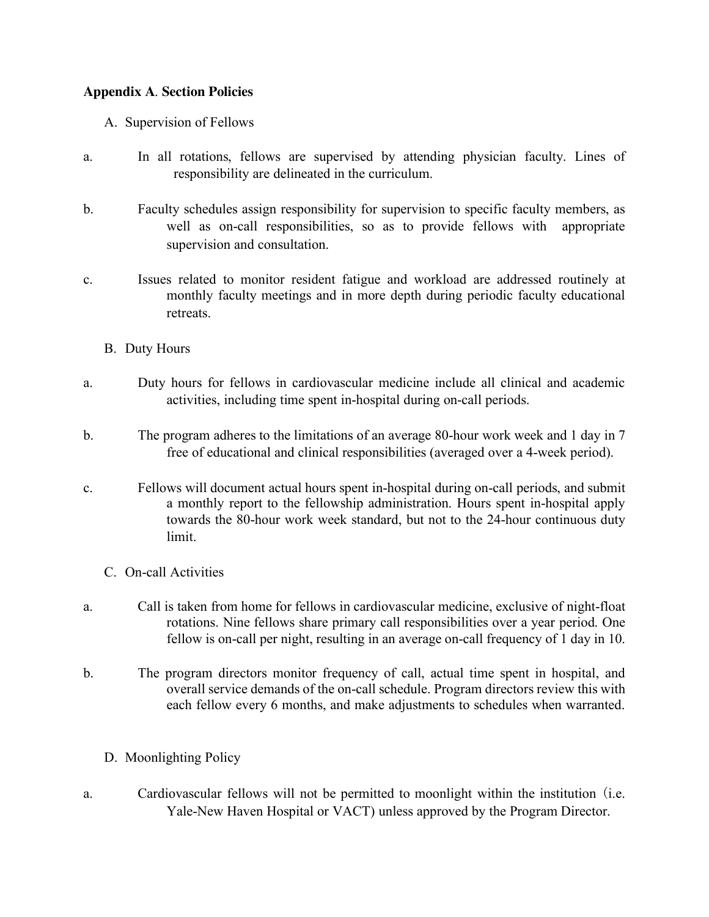### **Appendix A**. **Section Policies**

- A. Supervision of Fellows
- a. In all rotations, fellows are supervised by attending physician faculty. Lines of responsibility are delineated in the curriculum.
- b. Faculty schedules assign responsibility for supervision to specific faculty members, as well as on-call responsibilities, so as to provide fellows with appropriate supervision and consultation.
- c. Issues related to monitor resident fatigue and workload are addressed routinely at monthly faculty meetings and in more depth during periodic faculty educational retreats.
	- B. Duty Hours
- a. Duty hours for fellows in cardiovascular medicine include all clinical and academic activities, including time spent in-hospital during on-call periods.
- b. The program adheres to the limitations of an average 80-hour work week and 1 day in 7 free of educational and clinical responsibilities (averaged over a 4-week period).
- c. Fellows will document actual hours spent in-hospital during on-call periods, and submit a monthly report to the fellowship administration. Hours spent in-hospital apply towards the 80-hour work week standard, but not to the 24-hour continuous duty limit.
	- C. On-call Activities
- a. Call is taken from home for fellows in cardiovascular medicine, exclusive of night-float rotations. Nine fellows share primary call responsibilities over a year period. One fellow is on-call per night, resulting in an average on-call frequency of 1 day in 10.
- b. The program directors monitor frequency of call, actual time spent in hospital, and overall service demands of the on-call schedule. Program directors review this with each fellow every 6 months, and make adjustments to schedules when warranted.
	- D. Moonlighting Policy
- a. Cardiovascular fellows will not be permitted to moonlight within the institution (i.e. Yale-New Haven Hospital or VACT) unless approved by the Program Director.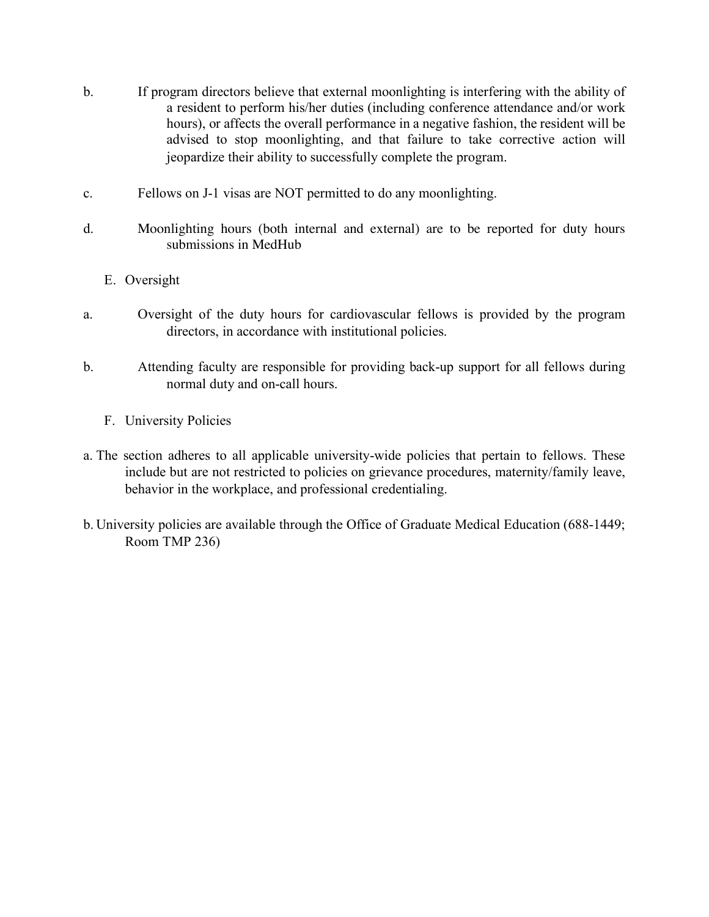- b. If program directors believe that external moonlighting is interfering with the ability of a resident to perform his/her duties (including conference attendance and/or work hours), or affects the overall performance in a negative fashion, the resident will be advised to stop moonlighting, and that failure to take corrective action will jeopardize their ability to successfully complete the program.
- c. Fellows on J-1 visas are NOT permitted to do any moonlighting.
- d. Moonlighting hours (both internal and external) are to be reported for duty hours submissions in MedHub
	- E. Oversight
- a. Oversight of the duty hours for cardiovascular fellows is provided by the program directors, in accordance with institutional policies.
- b. Attending faculty are responsible for providing back-up support for all fellows during normal duty and on-call hours.
	- F. University Policies
- a. The section adheres to all applicable university-wide policies that pertain to fellows. These include but are not restricted to policies on grievance procedures, maternity/family leave, behavior in the workplace, and professional credentialing.
- b. University policies are available through the Office of Graduate Medical Education (688-1449; Room TMP 236)